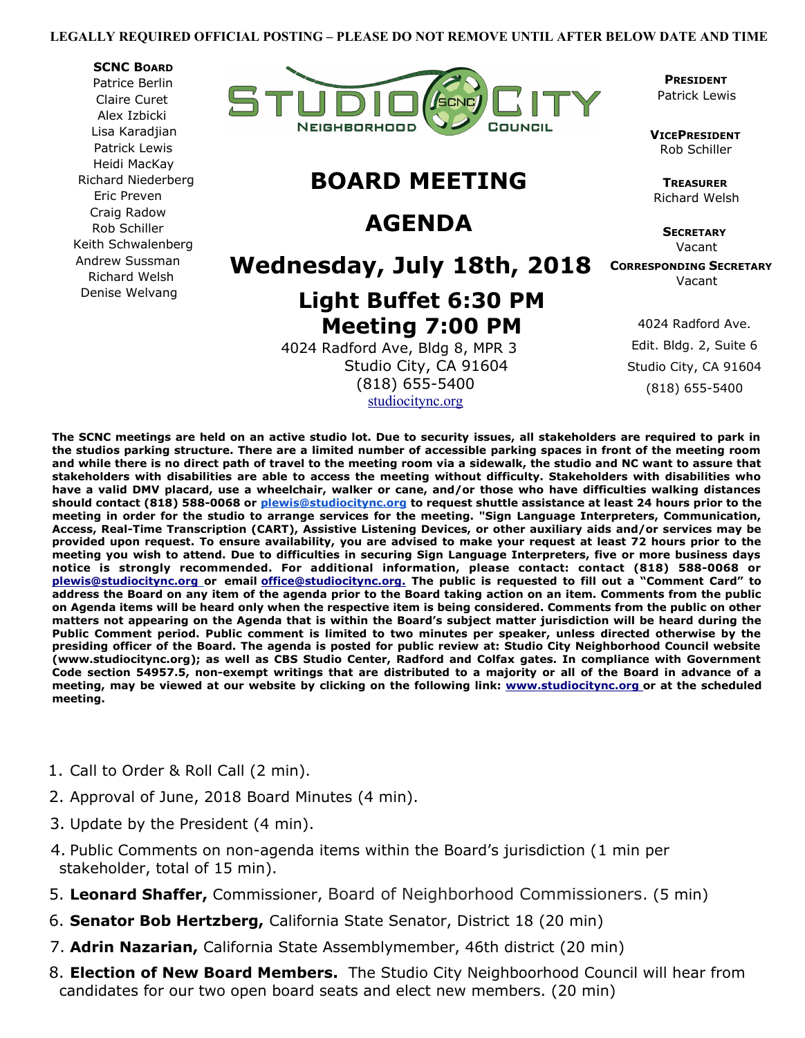#### **LEGALLY REQUIRED OFFICIAL POSTING – PLEASE DO NOT REMOVE UNTIL AFTER BELOW DATE AND TIME**

#### **SCNC BOARD**

Patrice Berlin Claire Curet Alex Izbicki Lisa Karadjian Patrick Lewis Heidi MacKay Richard Niederberg Eric Preven Craig Radow Rob Schiller Keith Schwalenberg Andrew Sussman Richard Welsh Denise Welvang



## **BOARD MEETING**

## **AGENDA**

### **Wednesday, July 18th, 2018**

# **Light Buffet 6:30 PM Meeting 7:00 PM**

 4024 Radford Ave, Bldg 8, MPR 3 Studio City, CA 91604 (818) 655-5400 [studiocitync.org](http://studiocitync.org/)

 **PRESIDENT** Patrick Lewis

 **VICEPRESIDENT** Rob Schiller

**TREASURER** Richard Welsh

> **SECRETARY** Vacant

 **CORRESPONDING SECRETARY** Vacant

> 4024 Radford Ave. Edit. Bldg. 2, Suite 6 Studio City, CA 91604 (818) 655-5400

**The SCNC meetings are held on an active studio lot. Due to security issues, all stakeholders are required to park in the studios parking structure. There are a limited number of accessible parking spaces in front of the meeting room and while there is no direct path of travel to the meeting room via a sidewalk, the studio and NC want to assure that stakeholders with disabilities are able to access the meeting without difficulty. Stakeholders with disabilities who have a valid DMV placard, use a wheelchair, walker or cane, and/or those who have difficulties walking distances should contact (818) 588-0068 or [plewis@studiocitync.org](mailto:plewis@studiocitync.org) to request shuttle assistance at least 24 hours prior to the meeting in order for the studio to arrange services for the meeting. "Sign Language Interpreters, Communication, Access, Real-Time Transcription (CART), Assistive Listening Devices, or other auxiliary aids and/or services may be provided upon request. To ensure availability, you are advised to make your request at least 72 hours prior to the meeting you wish to attend. Due to difficulties in securing Sign Language Interpreters, five or more business days notice is strongly recommended. For additional information, please contact: contact (818) 588-0068 or  [plewis@studiocitync.org](mailto:plewis@studiocitync.org) or email [office@studiocitync.org.](mailto:office@studiocitync.org) The public is requested to fill out a "Comment Card" to address the Board on any item of the agenda prior to the Board taking action on an item. Comments from the public on Agenda items will be heard only when the respective item is being considered. Comments from the public on other matters not appearing on the Agenda that is within the Board's subject matter jurisdiction will be heard during the Public Comment period. Public comment is limited to two minutes per speaker, unless directed otherwise by the presiding officer of the Board. The agenda is posted for public review at: Studio City Neighborhood Council website (www.studiocitync.org); as well as CBS Studio Center, Radford and Colfax gates. In compliance with Government Code section 54957.5, non-exempt writings that are distributed to a majority or all of the Board in advance of a meeting, may be viewed at our website by clicking on the following link: [www.studiocitync.org](http://www.studiocitync.org/) or at the scheduled meeting.**

- 1. Call to Order & Roll Call (2 min).
- 2. Approval of June, 2018 Board Minutes (4 min).
- 3. Update by the President (4 min).
- 4. Public Comments on non-agenda items within the Board's jurisdiction (1 min per stakeholder, total of 15 min).
- 5. **Leonard Shaffer,** Commissioner, Board of Neighborhood Commissioners. (5 min)
- 6. **Senator Bob Hertzberg,** California State Senator, District 18 (20 min)
- 7. **Adrin Nazarian,** California State Assemblymember, 46th district (20 min)
- 8. **Election of New Board Members.** The Studio City Neighboorhood Council will hear from candidates for our two open board seats and elect new members. (20 min)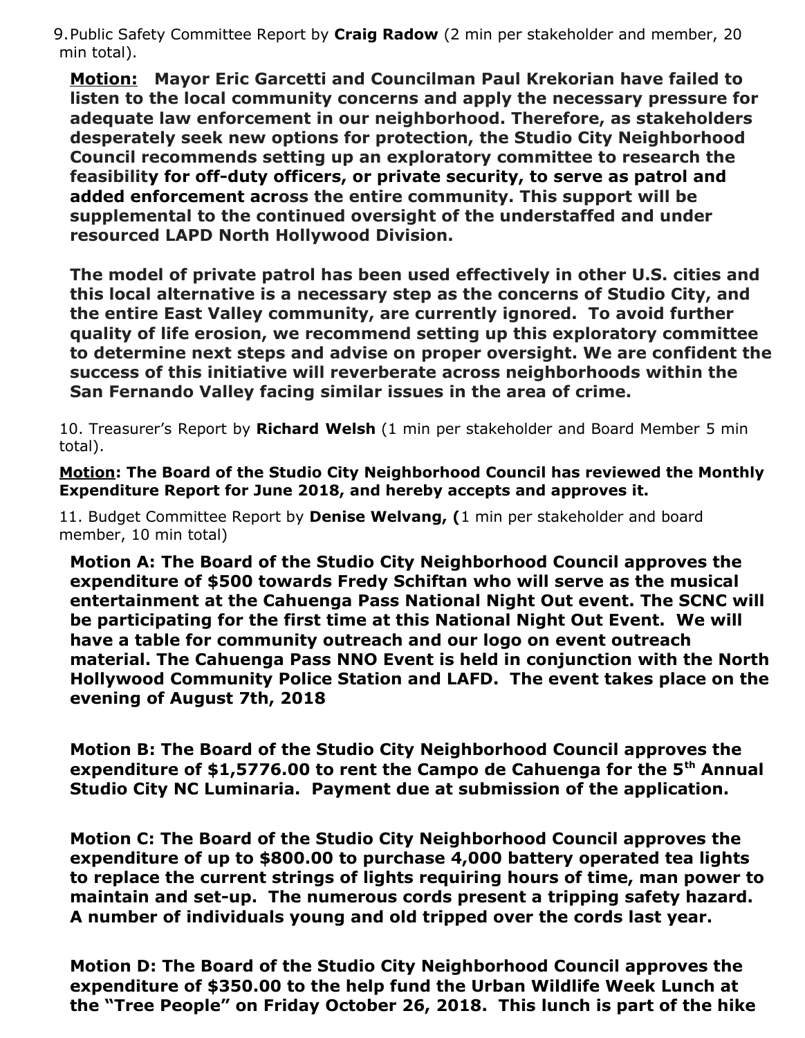9.Public Safety Committee Report by **Craig Radow** (2 min per stakeholder and member, 20 min total).

**Motion: Mayor Eric Garcetti and Councilman Paul Krekorian have failed to listen to the local community concerns and apply the necessary pressure for adequate law enforcement in our neighborhood. Therefore, as stakeholders desperately seek new options for protection, the Studio City Neighborhood Council recommends setting up an exploratory committee to research the feasibility for off-duty officers, or private security, to serve as patrol and added enforcement across the entire community. This support will be supplemental to the continued oversight of the understaffed and under resourced LAPD North Hollywood Division.** 

**The model of private patrol has been used effectively in other U.S. cities and this local alternative is a necessary step as the concerns of Studio City, and the entire East Valley community, are currently ignored. To avoid further quality of life erosion, we recommend setting up this exploratory committee to determine next steps and advise on proper oversight. We are confident the success of this initiative will reverberate across neighborhoods within the San Fernando Valley facing similar issues in the area of crime.** 

10. Treasurer's Report by **Richard Welsh** (1 min per stakeholder and Board Member 5 min total).

**Motion: The Board of the Studio City Neighborhood Council has reviewed the Monthly Expenditure Report for June 2018, and hereby accepts and approves it.**

11. Budget Committee Report by **Denise Welvang, (**1 min per stakeholder and board member, 10 min total)

**Motion A: The Board of the Studio City Neighborhood Council approves the expenditure of \$500 towards Fredy Schiftan who will serve as the musical entertainment at the Cahuenga Pass National Night Out event. The SCNC will be participating for the first time at this National Night Out Event. We will have a table for community outreach and our logo on event outreach material. The Cahuenga Pass NNO Event is held in conjunction with the North Hollywood Community Police Station and LAFD. The event takes place on the evening of August 7th, 2018**

**Motion B: The Board of the Studio City Neighborhood Council approves the**  expenditure of \$1,5776.00 to rent the Campo de Cahuenga for the 5<sup>th</sup> Annual **Studio City NC Luminaria. Payment due at submission of the application.**

**Motion C: The Board of the Studio City Neighborhood Council approves the expenditure of up to \$800.00 to purchase 4,000 battery operated tea lights to replace the current strings of lights requiring hours of time, man power to maintain and set-up. The numerous cords present a tripping safety hazard. A number of individuals young and old tripped over the cords last year.**

**Motion D: The Board of the Studio City Neighborhood Council approves the expenditure of \$350.00 to the help fund the Urban Wildlife Week Lunch at the "Tree People" on Friday October 26, 2018. This lunch is part of the hike**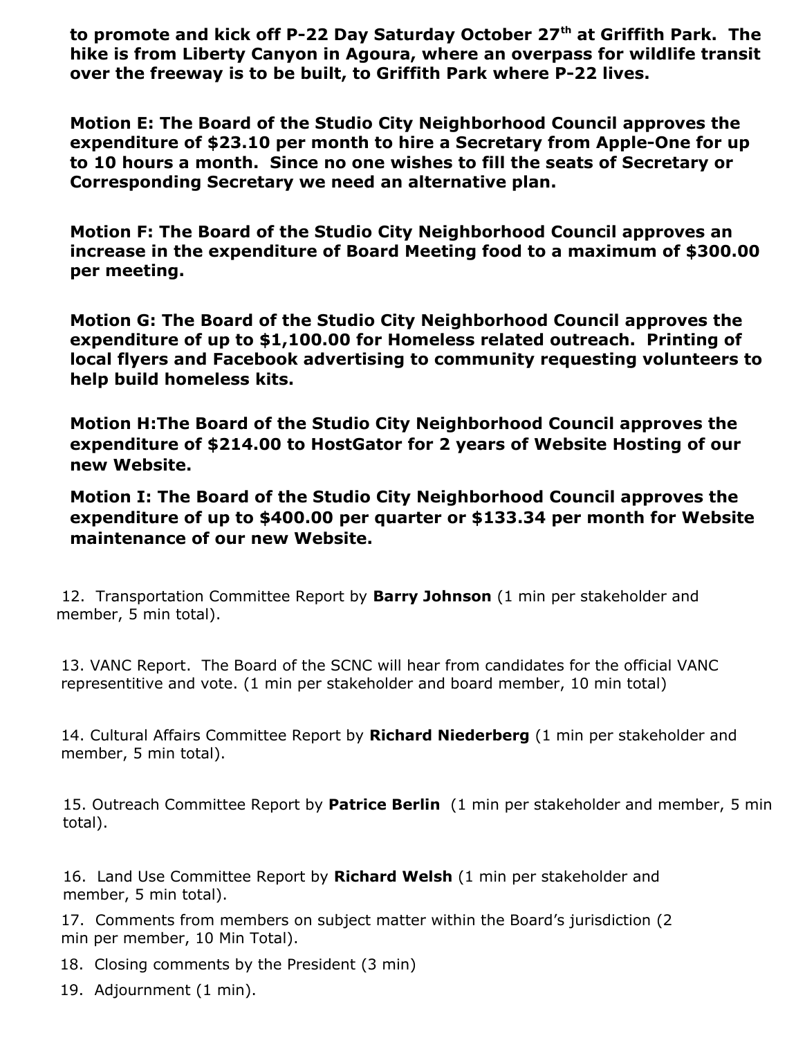to promote and kick off P-22 Day Saturday October 27<sup>th</sup> at Griffith Park. The **hike is from Liberty Canyon in Agoura, where an overpass for wildlife transit over the freeway is to be built, to Griffith Park where P-22 lives.** 

**Motion E: The Board of the Studio City Neighborhood Council approves the expenditure of \$23.10 per month to hire a Secretary from Apple-One for up to 10 hours a month. Since no one wishes to fill the seats of Secretary or Corresponding Secretary we need an alternative plan.** 

**Motion F: The Board of the Studio City Neighborhood Council approves an increase in the expenditure of Board Meeting food to a maximum of \$300.00 per meeting.**

**Motion G: The Board of the Studio City Neighborhood Council approves the expenditure of up to \$1,100.00 for Homeless related outreach. Printing of local flyers and Facebook advertising to community requesting volunteers to help build homeless kits.**

**Motion H:The Board of the Studio City Neighborhood Council approves the expenditure of \$214.00 to HostGator for 2 years of Website Hosting of our new Website.**

**Motion I: The Board of the Studio City Neighborhood Council approves the expenditure of up to \$400.00 per quarter or \$133.34 per month for Website maintenance of our new Website.**

12. Transportation Committee Report by **Barry Johnson** (1 min per stakeholder and member, 5 min total).

13. VANC Report. The Board of the SCNC will hear from candidates for the official VANC representitive and vote. (1 min per stakeholder and board member, 10 min total)

14. Cultural Affairs Committee Report by **Richard Niederberg** (1 min per stakeholder and member, 5 min total).

15. Outreach Committee Report by **Patrice Berlin** (1 min per stakeholder and member, 5 min total).

16. Land Use Committee Report by **Richard Welsh** (1 min per stakeholder and member, 5 min total).

17. Comments from members on subject matter within the Board's jurisdiction (2 min per member, 10 Min Total).

- 18. Closing comments by the President (3 min)
- 19. Adjournment (1 min).